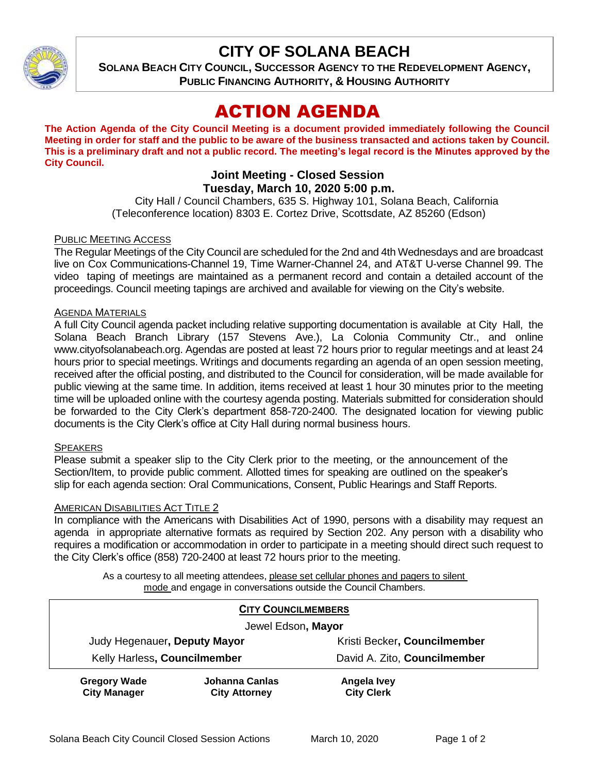

## **CITY OF SOLANA BEACH**

**SOLANA BEACH CITY COUNCIL, SUCCESSOR AGENCY TO THE REDEVELOPMENT AGENCY, PUBLIC FINANCING AUTHORITY, & HOUSING AUTHORITY**

# ACTION AGENDA

**The Action Agenda of the City Council Meeting is a document provided immediately following the Council Meeting in order for staff and the public to be aware of the business transacted and actions taken by Council. This is a preliminary draft and not a public record. The meeting's legal record is the Minutes approved by the City Council.**

## **Joint Meeting - Closed Session Tuesday, March 10, 2020 5:00 p.m.**

City Hall / Council Chambers, 635 S. Highway 101, Solana Beach, California (Teleconference location) 8303 E. Cortez Drive, Scottsdate, AZ 85260 (Edson)

## PUBLIC MEETING ACCESS

The Regular Meetings of the City Council are scheduled for the 2nd and 4th Wednesdays and are broadcast live on Cox Communications-Channel 19, Time Warner-Channel 24, and AT&T U-verse Channel 99. The video taping of meetings are maintained as a permanent record and contain a detailed account of the proceedings. Council meeting tapings are archived and available for viewing on the City's website.

## AGENDA MATERIALS

A full City Council agenda packet including relative supporting documentation is available at City Hall, the Solana Beach Branch Library (157 Stevens Ave.), La Colonia Community Ctr., and online [www.cityofsolanabeach.org.](http://www.cityofsolanabeach.org/) Agendas are posted at least 72 hours prior to regular meetings and at least 24 hours prior to special meetings. Writings and documents regarding an agenda of an open session meeting, received after the official posting, and distributed to the Council for consideration, will be made available for public viewing at the same time. In addition, items received at least 1 hour 30 minutes prior to the meeting time will be uploaded online with the courtesy agenda posting. Materials submitted for consideration should be forwarded to the City Clerk's department 858-720-2400. The designated location for viewing public documents is the City Clerk's office at City Hall during normal business hours.

### **SPEAKERS**

Please submit a speaker slip to the City Clerk prior to the meeting, or the announcement of the Section/Item, to provide public comment. Allotted times for speaking are outlined on the speaker's slip for each agenda section: Oral Communications, Consent, Public Hearings and Staff Reports.

## AMERICAN DISABILITIES ACT TITLE 2

In compliance with the Americans with Disabilities Act of 1990, persons with a disability may request an agenda in appropriate alternative formats as required by Section 202. Any person with a disability who requires a modification or accommodation in order to participate in a meeting should direct such request to the City Clerk's office (858) 720-2400 at least 72 hours prior to the meeting.

As a courtesy to all meeting attendees, please set cellular phones and pagers to silent mode and engage in conversations outside the Council Chambers.

| <b>CITY COUNCILMEMBERS</b>                 |                                        |                                  |
|--------------------------------------------|----------------------------------------|----------------------------------|
| Jewel Edson, Mayor                         |                                        |                                  |
| Judy Hegenauer, Deputy Mayor               |                                        | Kristi Becker, Councilmember     |
| Kelly Harless, Councilmember               |                                        | David A. Zito, Councilmember     |
| <b>Gregory Wade</b><br><b>City Manager</b> | Johanna Canlas<br><b>City Attorney</b> | Angela Ivey<br><b>City Clerk</b> |